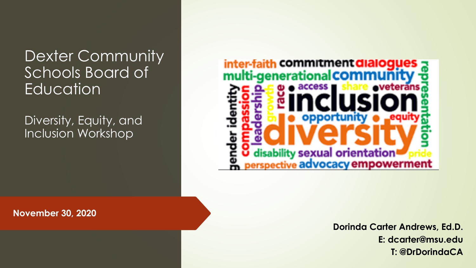Dexter Community Schools Board of **Education** 

Diversity, Equity, and Inclusion Workshop



**November 30, 2020**

**Dorinda Carter Andrews, Ed.D. E: dcarter@msu.edu T: @DrDorindaCA**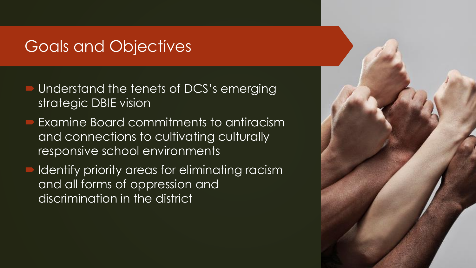#### Goals and Objectives

- Understand the tenets of DCS's emerging strategic DBIE vision
- Examine Board commitments to antiracism and connections to cultivating culturally responsive school environments
- Identify priority areas for eliminating racism and all forms of oppression and discrimination in the district

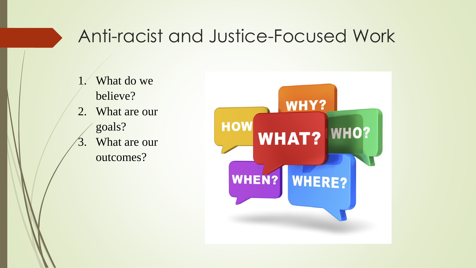#### Anti-racist and Justice-Focused Work

- 1. What do we believe?
- 2. What are our goals?
- 3. What are our outcomes?

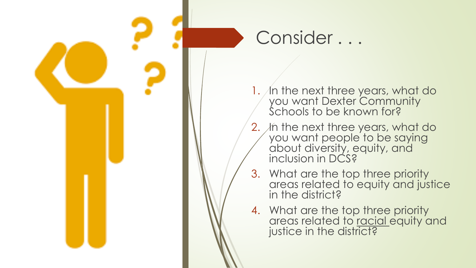

- 1. In the next three years, what do you want Dexter Community Schools to be known for?
- 2. *In the next three years, what do* you want people to be saying about diversity, equity, and inclusion in DCS?
- 3. What are the top three priority areas related to equity and justice in the district?
- 4. What are the top three priority areas related to **racial** equity and justice in the district?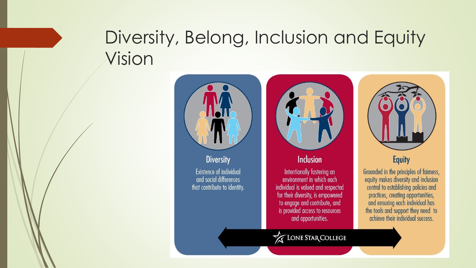## Diversity, Belong, Inclusion and Equity Vision

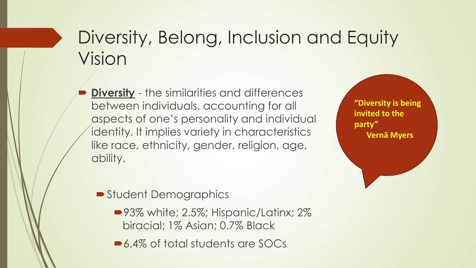## Diversity, Belong, Inclusion and Equity Vision

 **Diversity** - the similarities and differences between individuals, accounting for all aspects of one's personality and individual identity. It implies variety in characteristics like race, ethnicity, gender, religion, age, ability.

**"Diversity is being invited to the party" Vernā Myers**

**Student Demographics** 

- ■93% white; 2.5%; Hispanic/Latinx; 2% biracial; 1% Asian; 0.7% Black
- ■6.4% of total students are SOCs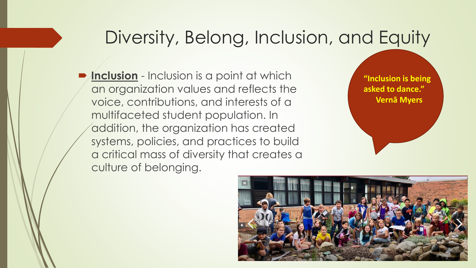#### Diversity, Belong, Inclusion, and Equity

**Inclusion** - Inclusion is a point at which an organization values and reflects the voice, contributions, and interests of a multifaceted student population. In addition, the organization has created systems, policies, and practices to build a critical mass of diversity that creates a culture of belonging.

**"Inclusion is being asked to dance." Vernā Myers**

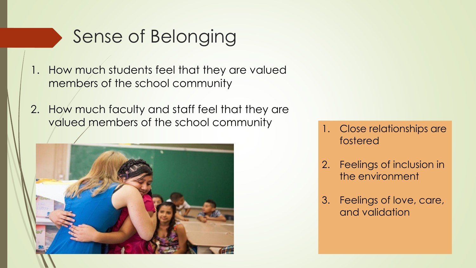## Sense of Belonging

- 1. How much students feel that they are valued members of the school community
- 2. How much faculty and staff feel that they are valued members of the school community and the school community of  $\frac{1}{1}$ . Close relationships are



- fostered
- 2. Feelings of inclusion in the environment
- 3. Feelings of love, care, and validation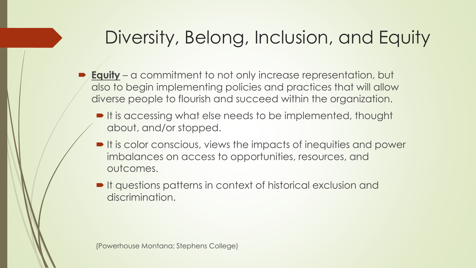# Diversity, Belong, Inclusion, and Equity

- **Equity** a commitment to not only increase representation, but also to begin implementing policies and practices that will allow diverse people to flourish and succeed within the organization.
	- It is accessing what else needs to be implemented, thought about, and/or stopped.
	- It is color conscious, views the impacts of inequities and power imbalances on access to opportunities, resources, and outcomes.
	- It questions patterns in context of historical exclusion and discrimination.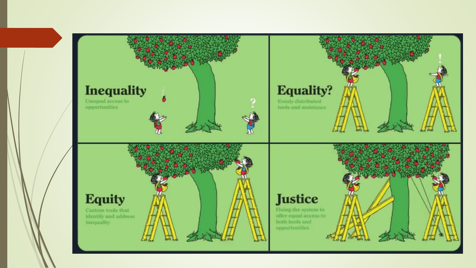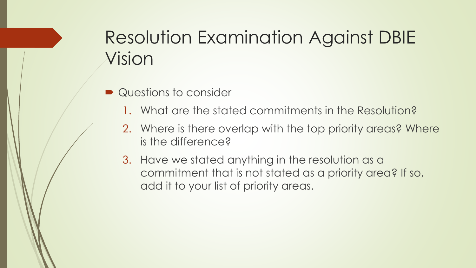# Resolution Examination Against DBIE Vision

- **Questions to consider** 
	- 1. What are the stated commitments in the Resolution?
	- 2. Where is there overlap with the top priority areas? Where is the difference?
	- 3. Have we stated anything in the resolution as a commitment that is not stated as a priority area? If so, add it to your list of priority areas.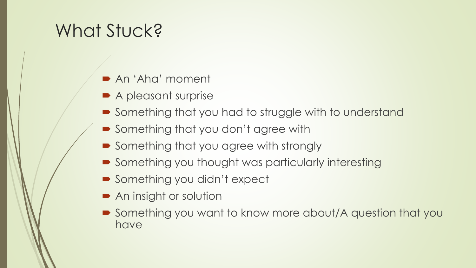# What Stuck?

- An 'Aha' moment
- A pleasant surprise
- Something that you had to struggle with to understand
- Something that you don't agree with
- Something that you agree with strongly
- Something you thought was particularly interesting
- Something you didn't expect
- **► An insight or solution**
- Something you want to know more about/A question that you have